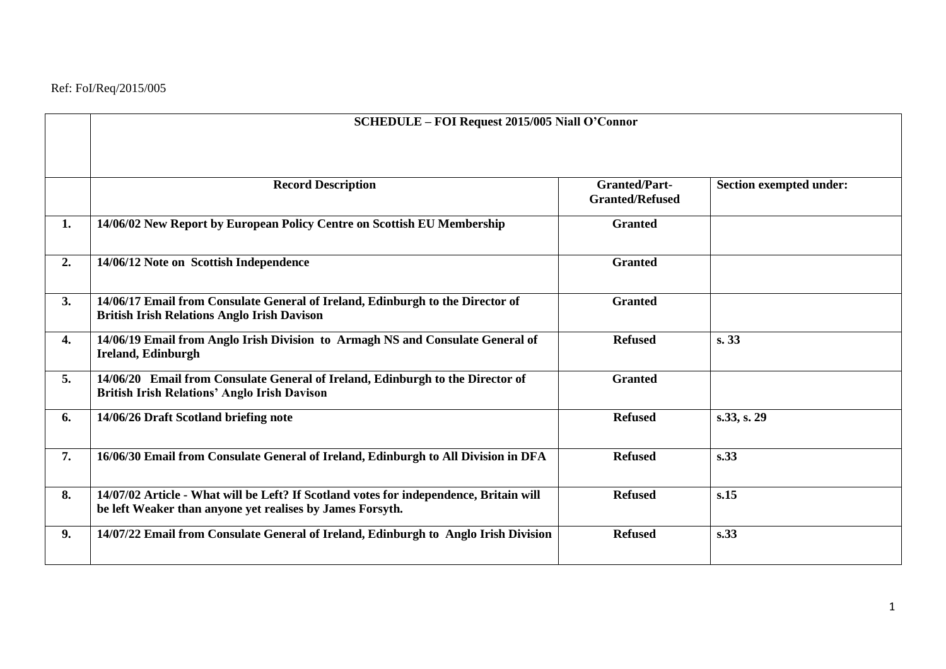|    | <b>SCHEDULE - FOI Request 2015/005 Niall O'Connor</b>                                                                                               |                                                |                                |
|----|-----------------------------------------------------------------------------------------------------------------------------------------------------|------------------------------------------------|--------------------------------|
|    | <b>Record Description</b>                                                                                                                           | <b>Granted/Part-</b><br><b>Granted/Refused</b> | <b>Section exempted under:</b> |
| 1. | 14/06/02 New Report by European Policy Centre on Scottish EU Membership                                                                             | <b>Granted</b>                                 |                                |
| 2. | 14/06/12 Note on Scottish Independence                                                                                                              | <b>Granted</b>                                 |                                |
| 3. | 14/06/17 Email from Consulate General of Ireland, Edinburgh to the Director of<br><b>British Irish Relations Anglo Irish Davison</b>                | <b>Granted</b>                                 |                                |
| 4. | 14/06/19 Email from Anglo Irish Division to Armagh NS and Consulate General of<br>Ireland, Edinburgh                                                | <b>Refused</b>                                 | s.33                           |
| 5. | 14/06/20 Email from Consulate General of Ireland, Edinburgh to the Director of<br><b>British Irish Relations' Anglo Irish Davison</b>               | <b>Granted</b>                                 |                                |
| 6. | 14/06/26 Draft Scotland briefing note                                                                                                               | <b>Refused</b>                                 | s.33, s. 29                    |
| 7. | 16/06/30 Email from Consulate General of Ireland, Edinburgh to All Division in DFA                                                                  | <b>Refused</b>                                 | s.33                           |
| 8. | 14/07/02 Article - What will be Left? If Scotland votes for independence, Britain will<br>be left Weaker than anyone yet realises by James Forsyth. | <b>Refused</b>                                 | s.15                           |
| 9. | 14/07/22 Email from Consulate General of Ireland, Edinburgh to Anglo Irish Division                                                                 | <b>Refused</b>                                 | s.33                           |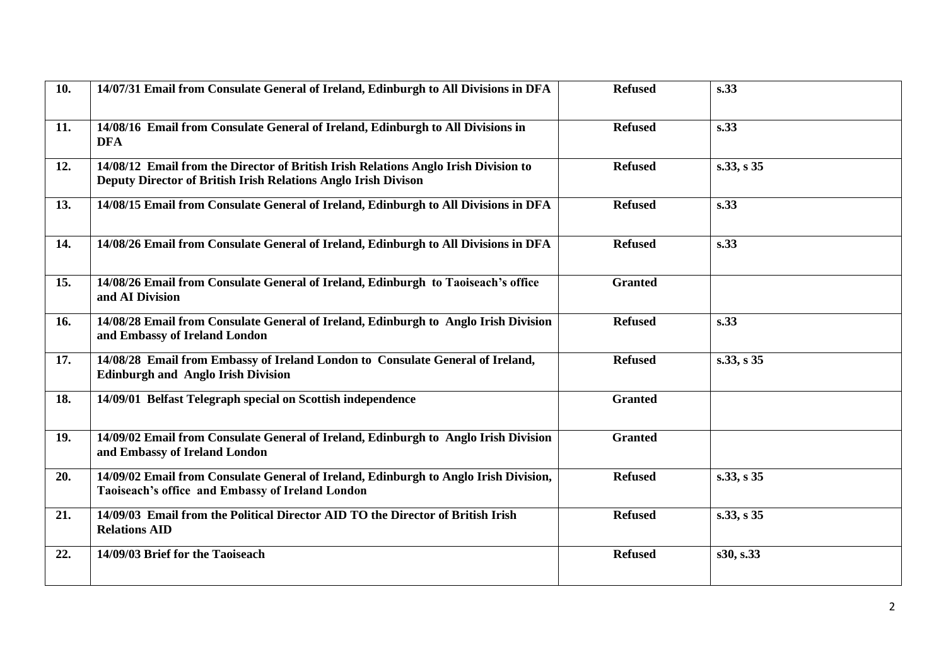| 10. | 14/07/31 Email from Consulate General of Ireland, Edinburgh to All Divisions in DFA                                                                   | <b>Refused</b> | s.33       |
|-----|-------------------------------------------------------------------------------------------------------------------------------------------------------|----------------|------------|
| 11. | 14/08/16 Email from Consulate General of Ireland, Edinburgh to All Divisions in<br><b>DFA</b>                                                         | <b>Refused</b> | s.33       |
| 12. | 14/08/12 Email from the Director of British Irish Relations Anglo Irish Division to<br>Deputy Director of British Irish Relations Anglo Irish Divison | <b>Refused</b> | s.33, s 35 |
| 13. | 14/08/15 Email from Consulate General of Ireland, Edinburgh to All Divisions in DFA                                                                   | <b>Refused</b> | s.33       |
| 14. | 14/08/26 Email from Consulate General of Ireland, Edinburgh to All Divisions in DFA                                                                   | <b>Refused</b> | s.33       |
| 15. | 14/08/26 Email from Consulate General of Ireland, Edinburgh to Taoiseach's office<br>and AI Division                                                  | <b>Granted</b> |            |
| 16. | 14/08/28 Email from Consulate General of Ireland, Edinburgh to Anglo Irish Division<br>and Embassy of Ireland London                                  | <b>Refused</b> | s.33       |
| 17. | 14/08/28 Email from Embassy of Ireland London to Consulate General of Ireland,<br><b>Edinburgh and Anglo Irish Division</b>                           | <b>Refused</b> | s.33, s 35 |
| 18. | 14/09/01 Belfast Telegraph special on Scottish independence                                                                                           | <b>Granted</b> |            |
| 19. | 14/09/02 Email from Consulate General of Ireland, Edinburgh to Anglo Irish Division<br>and Embassy of Ireland London                                  | <b>Granted</b> |            |
| 20. | 14/09/02 Email from Consulate General of Ireland, Edinburgh to Anglo Irish Division,<br>Taoiseach's office and Embassy of Ireland London              | <b>Refused</b> | s.33, s 35 |
| 21. | 14/09/03 Email from the Political Director AID TO the Director of British Irish<br><b>Relations AID</b>                                               | <b>Refused</b> | s.33, s 35 |
| 22. | 14/09/03 Brief for the Taoiseach                                                                                                                      | <b>Refused</b> | s30, s.33  |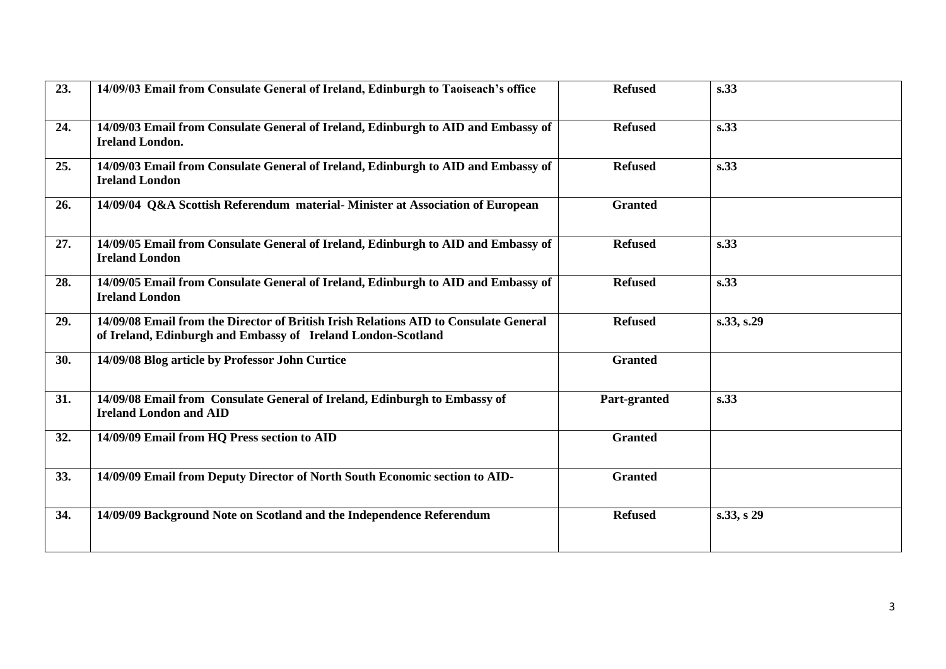| 23. | 14/09/03 Email from Consulate General of Ireland, Edinburgh to Taoiseach's office                                                                    | <b>Refused</b> | s.33       |
|-----|------------------------------------------------------------------------------------------------------------------------------------------------------|----------------|------------|
| 24. | 14/09/03 Email from Consulate General of Ireland, Edinburgh to AID and Embassy of<br><b>Ireland London.</b>                                          | <b>Refused</b> | s.33       |
| 25. | 14/09/03 Email from Consulate General of Ireland, Edinburgh to AID and Embassy of<br><b>Ireland London</b>                                           | <b>Refused</b> | s.33       |
| 26. | 14/09/04 Q&A Scottish Referendum material-Minister at Association of European                                                                        | <b>Granted</b> |            |
| 27. | 14/09/05 Email from Consulate General of Ireland, Edinburgh to AID and Embassy of<br><b>Ireland London</b>                                           | <b>Refused</b> | s.33       |
| 28. | 14/09/05 Email from Consulate General of Ireland, Edinburgh to AID and Embassy of<br><b>Ireland London</b>                                           | <b>Refused</b> | s.33       |
| 29. | 14/09/08 Email from the Director of British Irish Relations AID to Consulate General<br>of Ireland, Edinburgh and Embassy of Ireland London-Scotland | <b>Refused</b> | s.33, s.29 |
| 30. | 14/09/08 Blog article by Professor John Curtice                                                                                                      | <b>Granted</b> |            |
| 31. | 14/09/08 Email from Consulate General of Ireland, Edinburgh to Embassy of<br><b>Ireland London and AID</b>                                           | Part-granted   | s.33       |
| 32. | 14/09/09 Email from HQ Press section to AID                                                                                                          | <b>Granted</b> |            |
| 33. | 14/09/09 Email from Deputy Director of North South Economic section to AID-                                                                          | <b>Granted</b> |            |
| 34. | 14/09/09 Background Note on Scotland and the Independence Referendum                                                                                 | <b>Refused</b> | s.33, s 29 |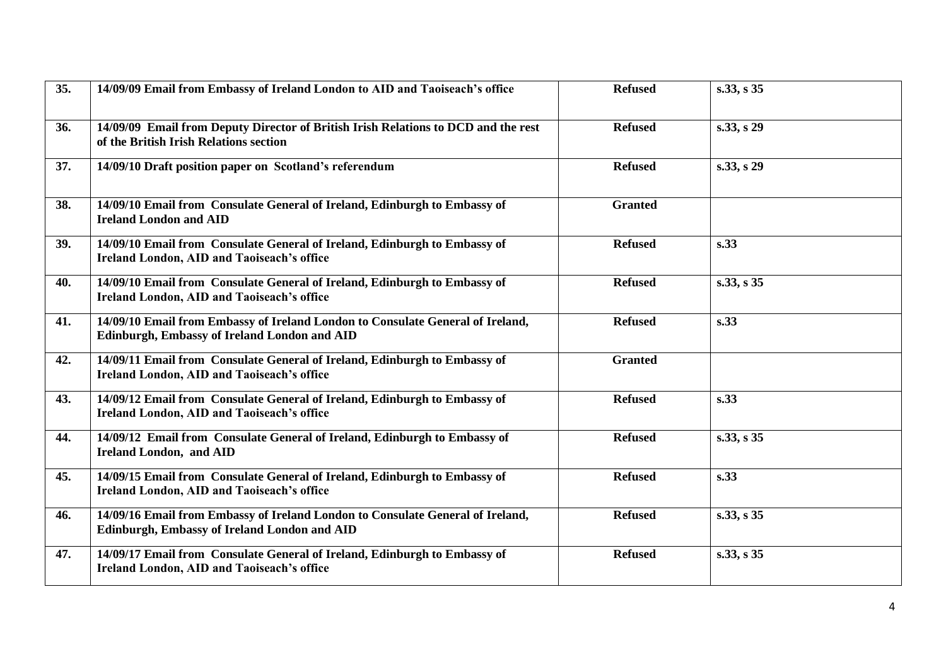| 35. | 14/09/09 Email from Embassy of Ireland London to AID and Taoiseach's office                                                           | <b>Refused</b> | s.33, s 35 |
|-----|---------------------------------------------------------------------------------------------------------------------------------------|----------------|------------|
| 36. | 14/09/09 Email from Deputy Director of British Irish Relations to DCD and the rest<br>of the British Irish Relations section          | <b>Refused</b> | s.33, s 29 |
| 37. | 14/09/10 Draft position paper on Scotland's referendum                                                                                | <b>Refused</b> | s.33, s 29 |
| 38. | 14/09/10 Email from Consulate General of Ireland, Edinburgh to Embassy of<br><b>Ireland London and AID</b>                            | <b>Granted</b> |            |
| 39. | 14/09/10 Email from Consulate General of Ireland, Edinburgh to Embassy of<br><b>Ireland London, AID and Taoiseach's office</b>        | <b>Refused</b> | s.33       |
| 40. | 14/09/10 Email from Consulate General of Ireland, Edinburgh to Embassy of<br><b>Ireland London, AID and Taoiseach's office</b>        | <b>Refused</b> | s.33, s 35 |
| 41. | 14/09/10 Email from Embassy of Ireland London to Consulate General of Ireland,<br><b>Edinburgh, Embassy of Ireland London and AID</b> | <b>Refused</b> | s.33       |
| 42. | 14/09/11 Email from Consulate General of Ireland, Edinburgh to Embassy of<br><b>Ireland London, AID and Taoiseach's office</b>        | <b>Granted</b> |            |
| 43. | 14/09/12 Email from Consulate General of Ireland, Edinburgh to Embassy of<br><b>Ireland London, AID and Taoiseach's office</b>        | <b>Refused</b> | s.33       |
| 44. | 14/09/12 Email from Consulate General of Ireland, Edinburgh to Embassy of<br><b>Ireland London, and AID</b>                           | <b>Refused</b> | s.33, s 35 |
| 45. | 14/09/15 Email from Consulate General of Ireland, Edinburgh to Embassy of<br><b>Ireland London, AID and Taoiseach's office</b>        | <b>Refused</b> | s.33       |
| 46. | 14/09/16 Email from Embassy of Ireland London to Consulate General of Ireland,<br><b>Edinburgh, Embassy of Ireland London and AID</b> | <b>Refused</b> | s.33, s 35 |
| 47. | 14/09/17 Email from Consulate General of Ireland, Edinburgh to Embassy of<br><b>Ireland London, AID and Taoiseach's office</b>        | <b>Refused</b> | s.33, s 35 |